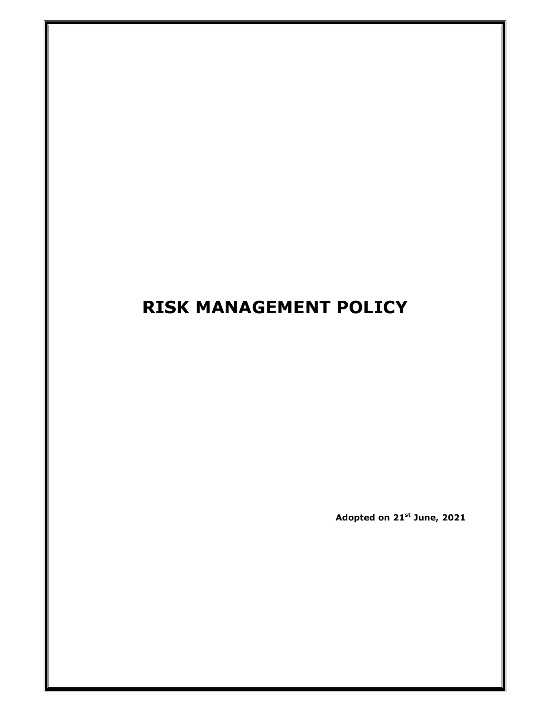# **RISK MANAGEMENT POLICY**

**Adopted on 21st June, 2021**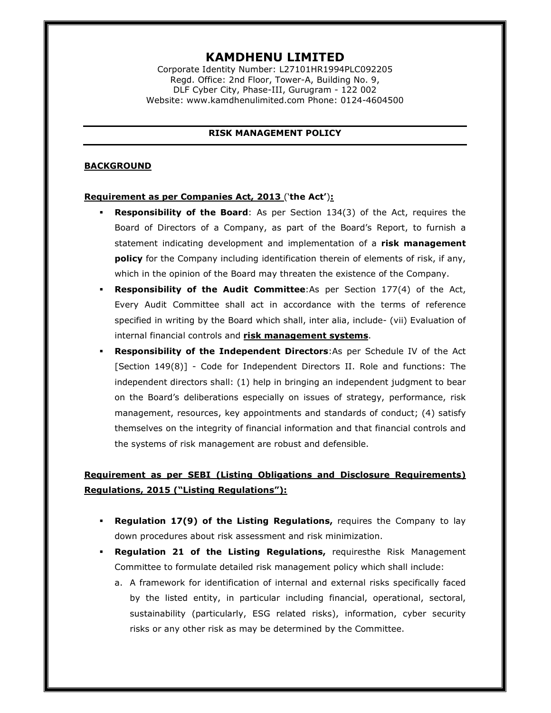# **KAMDHENU LIMITED**

Corporate Identity Number: L27101HR1994PLC092205 Regd. Office: 2nd Floor, Tower-A, Building No. 9, DLF Cyber City, Phase-III, Gurugram - 122 002 Website: www.kamdhenulimited.com Phone: 0124-4604500

### **RISK MANAGEMENT POLICY**

#### **BACKGROUND**

#### **Requirement as per Companies Act, 2013** ('**the Act'**)**:**

- **Responsibility of the Board**: As per Section 134(3) of the Act, requires the Board of Directors of a Company, as part of the Board's Report, to furnish a statement indicating development and implementation of a **risk management policy** for the Company including identification therein of elements of risk, if any, which in the opinion of the Board may threaten the existence of the Company.
- **Responsibility of the Audit Committee**:As per Section 177(4) of the Act, Every Audit Committee shall act in accordance with the terms of reference specified in writing by the Board which shall, inter alia, include- (vii) Evaluation of internal financial controls and **risk management systems**.
- **Responsibility of the Independent Directors**:As per Schedule IV of the Act [Section 149(8)] - Code for Independent Directors II. Role and functions: The independent directors shall: (1) help in bringing an independent judgment to bear on the Board's deliberations especially on issues of strategy, performance, risk management, resources, key appointments and standards of conduct; (4) satisfy themselves on the integrity of financial information and that financial controls and the systems of risk management are robust and defensible.

# **Requirement as per SEBI (Listing Obligations and Disclosure Requirements) Regulations, 2015 ("Listing Regulations"):**

- **Regulation 17(9) of the Listing Regulations,** requires the Company to lay down procedures about risk assessment and risk minimization.
- **Regulation 21 of the Listing Regulations,** requiresthe Risk Management Committee to formulate detailed risk management policy which shall include:
	- a. A framework for identification of internal and external risks specifically faced by the listed entity, in particular including financial, operational, sectoral, sustainability (particularly, ESG related risks), information, cyber security risks or any other risk as may be determined by the Committee.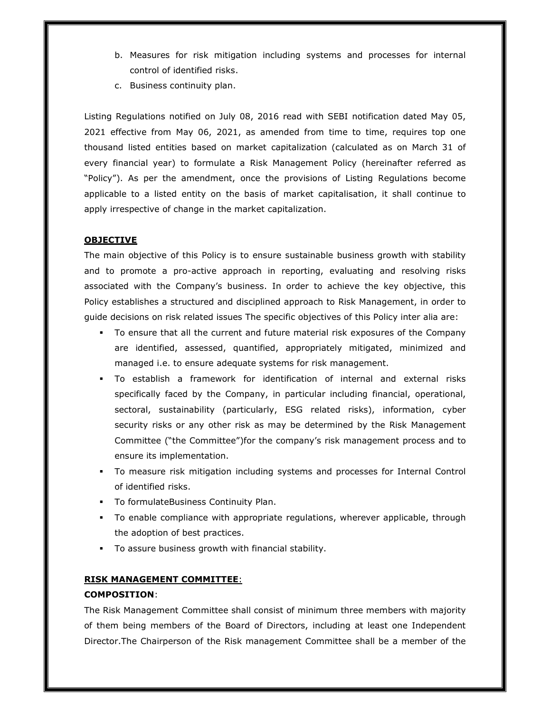- b. Measures for risk mitigation including systems and processes for internal control of identified risks.
- c. Business continuity plan.

Listing Regulations notified on July 08, 2016 read with SEBI notification dated May 05, 2021 effective from May 06, 2021, as amended from time to time, requires top one thousand listed entities based on market capitalization (calculated as on March 31 of every financial year) to formulate a Risk Management Policy (hereinafter referred as "Policy"). As per the amendment, once the provisions of Listing Regulations become applicable to a listed entity on the basis of market capitalisation, it shall continue to apply irrespective of change in the market capitalization.

# **OBJECTIVE**

The main objective of this Policy is to ensure sustainable business growth with stability and to promote a pro-active approach in reporting, evaluating and resolving risks associated with the Company's business. In order to achieve the key objective, this Policy establishes a structured and disciplined approach to Risk Management, in order to guide decisions on risk related issues The specific objectives of this Policy inter alia are:

- To ensure that all the current and future material risk exposures of the Company are identified, assessed, quantified, appropriately mitigated, minimized and managed i.e. to ensure adequate systems for risk management.
- To establish a framework for identification of internal and external risks specifically faced by the Company, in particular including financial, operational, sectoral, sustainability (particularly, ESG related risks), information, cyber security risks or any other risk as may be determined by the Risk Management Committee ("the Committee")for the company's risk management process and to ensure its implementation.
- To measure risk mitigation including systems and processes for Internal Control of identified risks.
- To formulateBusiness Continuity Plan.
- To enable compliance with appropriate regulations, wherever applicable, through the adoption of best practices.
- To assure business growth with financial stability.

# **RISK MANAGEMENT COMMITTEE**:

# **COMPOSITION**:

The Risk Management Committee shall consist of minimum three members with majority of them being members of the Board of Directors, including at least one Independent Director.The Chairperson of the Risk management Committee shall be a member of the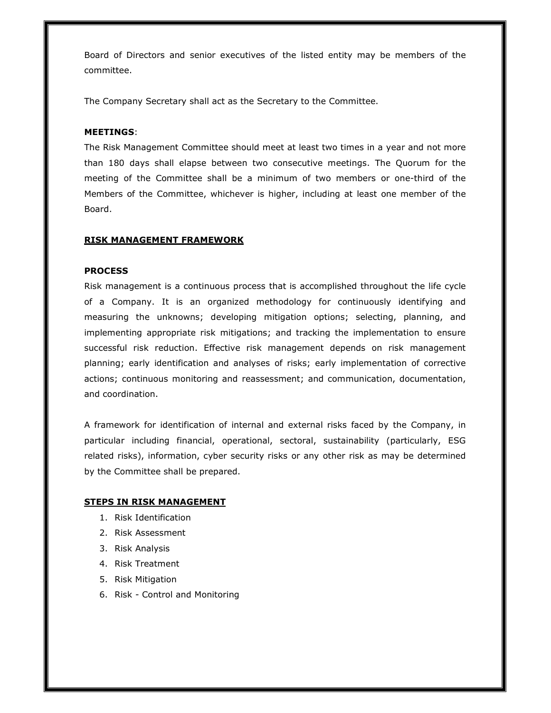Board of Directors and senior executives of the listed entity may be members of the committee.

The Company Secretary shall act as the Secretary to the Committee.

#### **MEETINGS**:

The Risk Management Committee should meet at least two times in a year and not more than 180 days shall elapse between two consecutive meetings. The Quorum for the meeting of the Committee shall be a minimum of two members or one-third of the Members of the Committee, whichever is higher, including at least one member of the Board.

#### **RISK MANAGEMENT FRAMEWORK**

#### **PROCESS**

Risk management is a continuous process that is accomplished throughout the life cycle of a Company. It is an organized methodology for continuously identifying and measuring the unknowns; developing mitigation options; selecting, planning, and implementing appropriate risk mitigations; and tracking the implementation to ensure successful risk reduction. Effective risk management depends on risk management planning; early identification and analyses of risks; early implementation of corrective actions; continuous monitoring and reassessment; and communication, documentation, and coordination.

A framework for identification of internal and external risks faced by the Company, in particular including financial, operational, sectoral, sustainability (particularly, ESG related risks), information, cyber security risks or any other risk as may be determined by the Committee shall be prepared.

#### **STEPS IN RISK MANAGEMENT**

- 1. Risk Identification
- 2. Risk Assessment
- 3. Risk Analysis
- 4. Risk Treatment
- 5. Risk Mitigation
- 6. Risk Control and Monitoring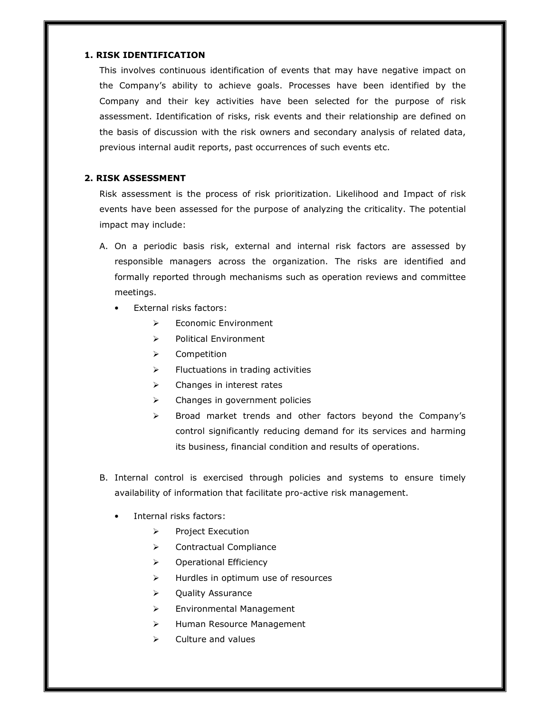## **1. RISK IDENTIFICATION**

This involves continuous identification of events that may have negative impact on the Company's ability to achieve goals. Processes have been identified by the Company and their key activities have been selected for the purpose of risk assessment. Identification of risks, risk events and their relationship are defined on the basis of discussion with the risk owners and secondary analysis of related data, previous internal audit reports, past occurrences of such events etc.

# **2. RISK ASSESSMENT**

Risk assessment is the process of risk prioritization. Likelihood and Impact of risk events have been assessed for the purpose of analyzing the criticality. The potential impact may include:

- A. On a periodic basis risk, external and internal risk factors are assessed by responsible managers across the organization. The risks are identified and formally reported through mechanisms such as operation reviews and committee meetings.
	- External risks factors:
		- $\blacktriangleright$ Economic Environment
		- $\blacktriangleright$ Political Environment
		- $\geq$ Competition
		- $\blacktriangleright$ Fluctuations in trading activities
		- -Changes in interest rates
		- $\blacktriangleright$ Changes in government policies
		- $\blacktriangleright$  Broad market trends and other factors beyond the Company's control significantly reducing demand for its services and harming its business, financial condition and results of operations.
- B. Internal control is exercised through policies and systems to ensure timely availability of information that facilitate pro-active risk management.
	- Internal risks factors:
		- $\blacktriangleright$ Project Execution
		- -Contractual Compliance
		- -Operational Efficiency
		- -Hurdles in optimum use of resources
		- $\blacktriangleright$ Quality Assurance
		- $\blacktriangleright$ Environmental Management
		- $\blacktriangleright$ Human Resource Management
		- $\blacktriangleright$ Culture and values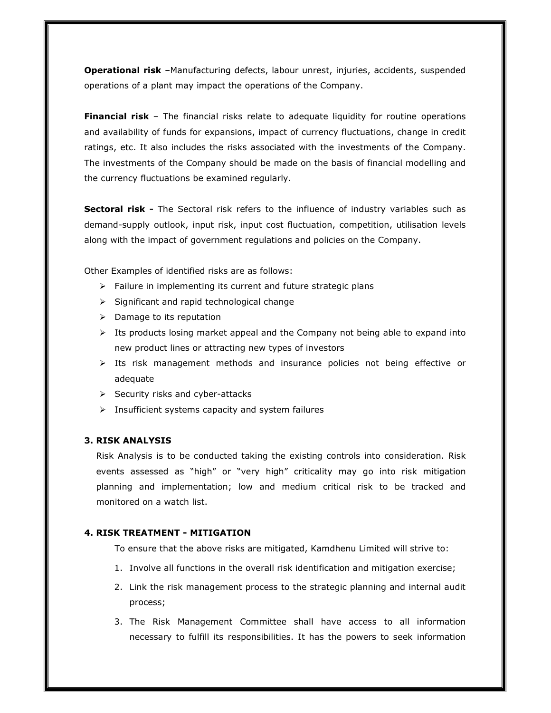**Operational risk** –Manufacturing defects, labour unrest, injuries, accidents, suspended operations of a plant may impact the operations of the Company.

**Financial risk** – The financial risks relate to adequate liquidity for routine operations and availability of funds for expansions, impact of currency fluctuations, change in credit ratings, etc. It also includes the risks associated with the investments of the Company. The investments of the Company should be made on the basis of financial modelling and the currency fluctuations be examined regularly.

**Sectoral risk -** The Sectoral risk refers to the influence of industry variables such as demand-supply outlook, input risk, input cost fluctuation, competition, utilisation levels along with the impact of government regulations and policies on the Company.

Other Examples of identified risks are as follows:

- > Failure in implementing its current and future strategic plans
- > Significant and rapid technological change
- > Damage to its reputation
- > Its products losing market appeal and the Company not being able to expand into new product lines or attracting new types of investors
- > Its risk management methods and insurance policies not being effective or adequate
- > Security risks and cyber-attacks
- > Insufficient systems capacity and system failures

# **3. RISK ANALYSIS**

Risk Analysis is to be conducted taking the existing controls into consideration. Risk events assessed as "high" or "very high" criticality may go into risk mitigation planning and implementation; low and medium critical risk to be tracked and monitored on a watch list.

### **4. RISK TREATMENT - MITIGATION**

To ensure that the above risks are mitigated, Kamdhenu Limited will strive to:

- 1. Involve all functions in the overall risk identification and mitigation exercise;
- 2. Link the risk management process to the strategic planning and internal audit process;
- 3. The Risk Management Committee shall have access to all information necessary to fulfill its responsibilities. It has the powers to seek information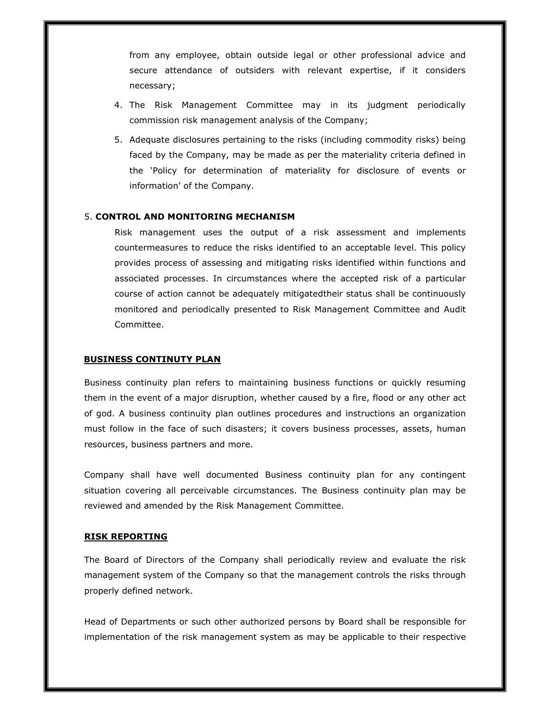from any employee, obtain outside legal or other professional advice and secure attendance of outsiders with relevant expertise, if it considers necessary;

- 4. The Risk Management Committee may in its judgment periodically commission risk management analysis of the Company;
- 5. Adequate disclosures pertaining to the risks (including commodity risks) being faced by the Company, may be made as per the materiality criteria defined in the 'Policy for determination of materiality for disclosure of events or information' of the Company.

#### 5. **CONTROL AND MONITORING MECHANISM**

Risk management uses the output of a risk assessment and implements countermeasures to reduce the risks identified to an acceptable level. This policy provides process of assessing and mitigating risks identified within functions and associated processes. In circumstances where the accepted risk of a particular course of action cannot be adequately mitigatedtheir status shall be continuously monitored and periodically presented to Risk Management Committee and Audit Committee.

#### **BUSINESS CONTINUTY PLAN**

Business continuity plan refers to maintaining business functions or quickly resuming them in the event of a major disruption, whether caused by a fire, flood or any other act of god. A business continuity plan outlines procedures and instructions an organization must follow in the face of such disasters; it covers business processes, assets, human resources, business partners and more.

Company shall have well documented Business continuity plan for any contingent situation covering all perceivable circumstances. The Business continuity plan may be reviewed and amended by the Risk Management Committee.

#### **RISK REPORTING**

The Board of Directors of the Company shall periodically review and evaluate the risk management system of the Company so that the management controls the risks through properly defined network.

Head of Departments or such other authorized persons by Board shall be responsible for implementation of the risk management system as may be applicable to their respective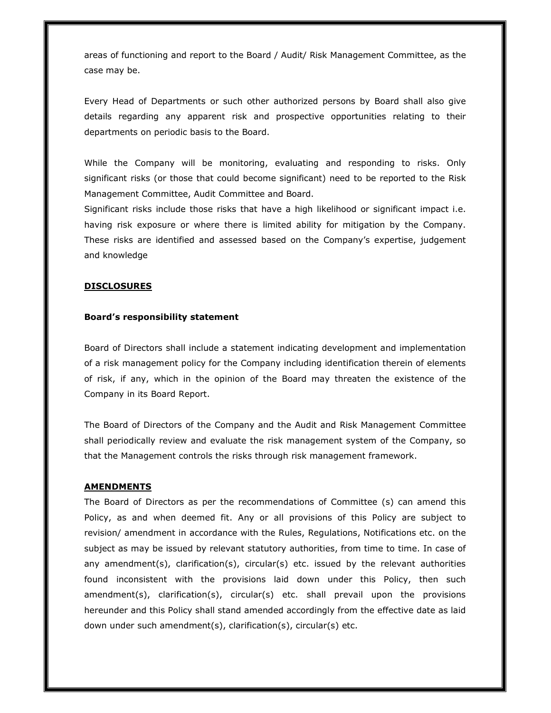areas of functioning and report to the Board / Audit/ Risk Management Committee, as the case may be.

Every Head of Departments or such other authorized persons by Board shall also give details regarding any apparent risk and prospective opportunities relating to their departments on periodic basis to the Board.

While the Company will be monitoring, evaluating and responding to risks. Only significant risks (or those that could become significant) need to be reported to the Risk Management Committee, Audit Committee and Board.

Significant risks include those risks that have a high likelihood or significant impact i.e. having risk exposure or where there is limited ability for mitigation by the Company. These risks are identified and assessed based on the Company's expertise, judgement and knowledge

#### **DISCLOSURES**

## **Board's responsibility statement**

Board of Directors shall include a statement indicating development and implementation of a risk management policy for the Company including identification therein of elements of risk, if any, which in the opinion of the Board may threaten the existence of the Company in its Board Report.

The Board of Directors of the Company and the Audit and Risk Management Committee shall periodically review and evaluate the risk management system of the Company, so that the Management controls the risks through risk management framework.

#### **AMENDMENTS**

The Board of Directors as per the recommendations of Committee (s) can amend this Policy, as and when deemed fit. Any or all provisions of this Policy are subject to revision/ amendment in accordance with the Rules, Regulations, Notifications etc. on the subject as may be issued by relevant statutory authorities, from time to time. In case of any amendment(s), clarification(s), circular(s) etc. issued by the relevant authorities found inconsistent with the provisions laid down under this Policy, then such amendment(s), clarification(s), circular(s) etc. shall prevail upon the provisions hereunder and this Policy shall stand amended accordingly from the effective date as laid down under such amendment(s), clarification(s), circular(s) etc.